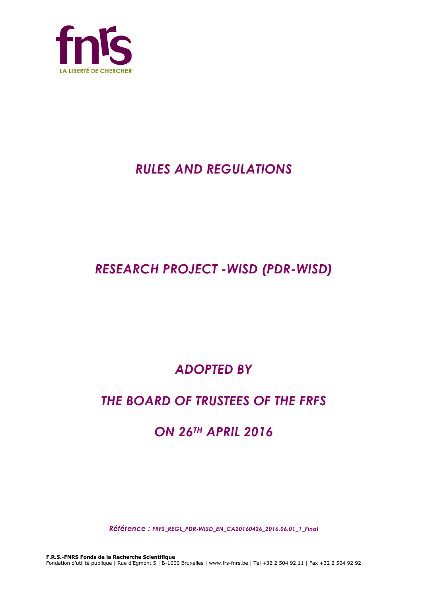

# *RULES AND REGULATIONS*

# *RESEARCH PROJECT -WISD (PDR-WISD)*

# *ADOPTED BY*

# *THE BOARD OF TRUSTEES OF THE FRFS*

# *ON 26TH APRIL 2016*

*Référence : FRFS\_REGL\_PDR-WISD\_EN\_CA20160426\_2016.06.01\_1\_Final*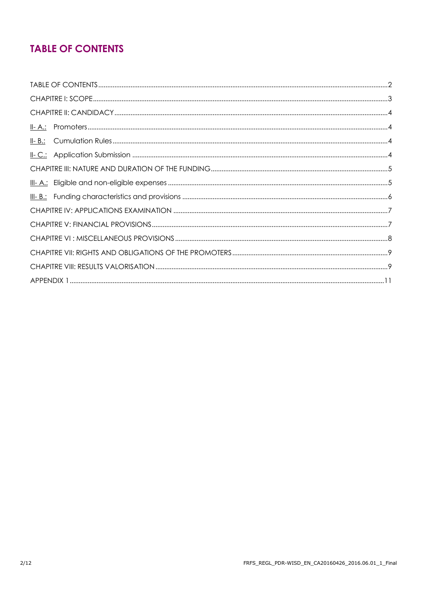## **TABLE OF CONTENTS**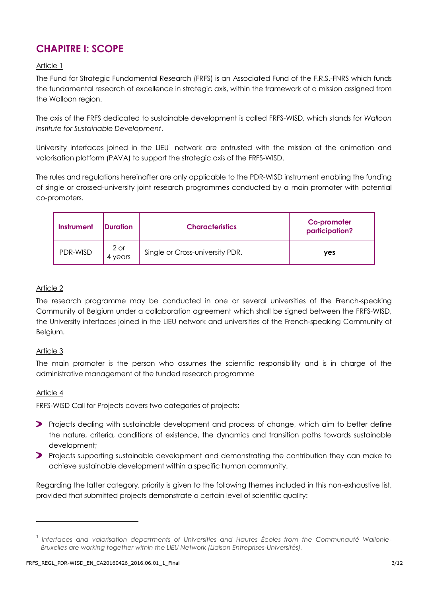## **CHAPITRE I: SCOPE**

### Article 1

The Fund for Strategic Fundamental Research (FRFS) is an Associated Fund of the F.R.S.-FNRS which funds the fundamental research of excellence in strategic axis, within the framework of a mission assigned from the Walloon region.

The axis of the FRFS dedicated to sustainable development is called FRFS-WISD, which stands for *Walloon Institute for Sustainable Development*.

University interfaces joined in the LIEU<sup>1</sup> network are entrusted with the mission of the animation and valorisation platform (PAVA) to support the strategic axis of the FRFS-WISD.

The rules and regulations hereinafter are only applicable to the PDR-WISD instrument enabling the funding of single or crossed-university joint research programmes conducted by a main promoter with potential co-promoters.

| Instrument | <b>IDuration</b>  | <b>Characteristics</b>          | Co-promoter<br>participation? |
|------------|-------------------|---------------------------------|-------------------------------|
| PDR-WISD   | $2$ or<br>4 years | Single or Cross-university PDR. | <b>ves</b>                    |

### Article 2

The research programme may be conducted in one or several universities of the French-speaking Community of Belgium under a collaboration agreement which shall be signed between the FRFS-WISD, the University interfaces joined in the LIEU network and universities of the French-speaking Community of Belgium.

### Article 3

The main promoter is the person who assumes the scientific responsibility and is in charge of the administrative management of the funded research programme

### Article 4

 $\overline{a}$ 

FRFS-WISD Call for Projects covers two categories of projects:

- **Projects dealing with sustainable development and process of change, which aim to better define** the nature, criteria, conditions of existence, the dynamics and transition paths towards sustainable development;
- **Projects supporting sustainable development and demonstrating the contribution they can make to** achieve sustainable development within a specific human community.

Regarding the latter category, priority is given to the following themes included in this non-exhaustive list, provided that submitted projects demonstrate a certain level of scientific quality:

<sup>1</sup> *Interfaces and valorisation departments of Universities and Hautes Écoles from the Communauté Wallonie-Bruxelles are working together within the LIEU Network (Liaison Entreprises-Universités).*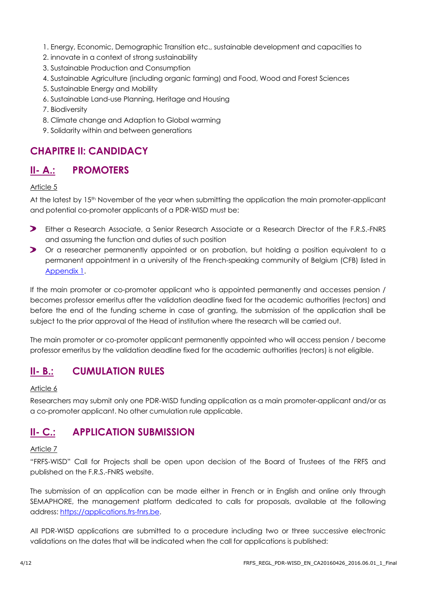- 1. Energy, Economic, Demographic Transition etc., sustainable development and capacities to
- 2. innovate in a context of strong sustainability
- 3. Sustainable Production and Consumption
- 4. Sustainable Agriculture (including organic farming) and Food, Wood and Forest Sciences
- 5. Sustainable Energy and Mobility
- 6. Sustainable Land-use Planning, Heritage and Housing
- 7. Biodiversity
- 8. Climate change and Adaption to Global warming
- 9. Solidarity within and between generations

### **CHAPITRE II: CANDIDACY**

### **II- A.: PROMOTERS**

### Article 5

At the latest by 15<sup>th</sup> November of the year when submitting the application the main promoter-applicant and potential co-promoter applicants of a PDR-WISD must be:

- $\blacktriangleright$ Either a Research Associate, a Senior Research Associate or a Research Director of the F.R.S.-FNRS and assuming the function and duties of such position
- Or a researcher permanently appointed or on probation, but holding a position equivalent to a permanent appointment in a university of the French-speaking community of Belgium (CFB) listed in [Appendix 1.](#page-10-0)

If the main promoter or co-promoter applicant who is appointed permanently and accesses pension / becomes professor emeritus after the validation deadline fixed for the academic authorities (rectors) and before the end of the funding scheme in case of granting, the submission of the application shall be subject to the prior approval of the Head of institution where the research will be carried out.

The main promoter or co-promoter applicant permanently appointed who will access pension / become professor emeritus by the validation deadline fixed for the academic authorities (rectors) is not eligible.

### **II- B.: CUMULATION RULES**

#### Article 6

Researchers may submit only one PDR-WISD funding application as a main promoter-applicant and/or as a co-promoter applicant. No other cumulation rule applicable.

### **II- C.: APPLICATION SUBMISSION**

### Article 7

"FRFS-WISD" Call for Projects shall be open upon decision of the Board of Trustees of the FRFS and published on the F.R.S.-FNRS website.

The submission of an application can be made either in French or in English and online only through SEMAPHORE, the management platform dedicated to calls for proposals, available at the following address: [https://applications.frs-fnrs.be.](https://applications.frs-fnrs.be/)

All PDR-WISD applications are submitted to a procedure including two or three successive electronic validations on the dates that will be indicated when the call for applications is published: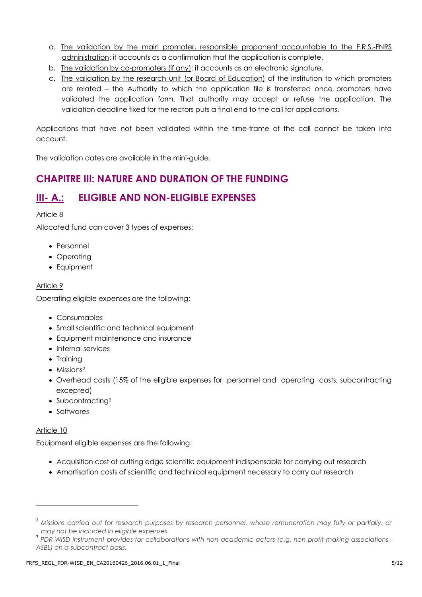- a. The validation by the main promoter, responsible proponent accountable to the F.R.S.-FNRS administration: it accounts as a confirmation that the application is complete.
- b. The validation by co-promoters (if any): it accounts as an electronic signature.
- c. The validation by the research unit (or Board of Education) of the institution to which promoters are related – the Authority to which the application file is transferred once promoters have validated the application form. That authority may accept or refuse the application. The validation deadline fixed for the rectors puts a final end to the call for applications.

Applications that have not been validated within the time-frame of the call cannot be taken into account.

The validation dates are available in the mini-guide.

### **CHAPITRE III: NATURE AND DURATION OF THE FUNDING**

### **III- A.: ELIGIBLE AND NON-ELIGIBLE EXPENSES**

### Article 8

Allocated fund can cover 3 types of expenses:

- Personnel
- Operating
- Equipment

### Article 9

Operating eligible expenses are the following:

- Consumables
- Small scientific and technical equipment
- Equipment maintenance and insurance
- Internal services
- Training
- Missions<sup>2</sup>
- Overhead costs (15% of the eligible expenses for personnel and operating costs, subcontracting excepted)
- Subcontracting<sup>3</sup>
- Softwares

### Article 10

 $\overline{a}$ 

Equipment eligible expenses are the following:

- Acquisition cost of cutting edge scientific equipment indispensable for carrying out research
- Amortisation costs of scientific and technical equipment necessary to carry out research

<sup>&</sup>lt;sup>2</sup> Missions carried out for research purposes by research personnel, whose remuneration may fully or partially, or *may not be included in eligible expenses.* 

<sup>3</sup> *PDR-WISD instrument provides for collaborations with non-academic actors (e.g. non-profit making associations– ASBL) on a subcontract basis.*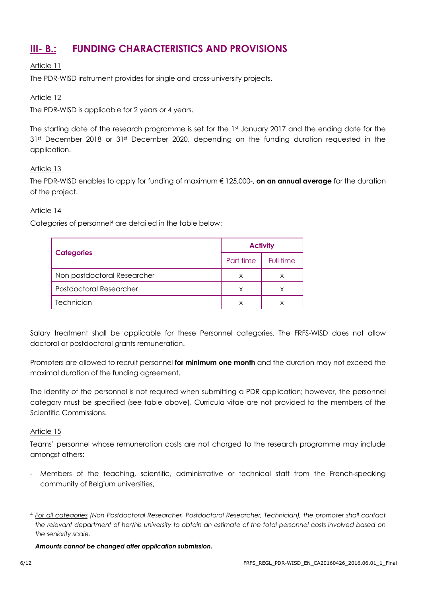## **III- B.: FUNDING CHARACTERISTICS AND PROVISIONS**

### Article 11

The PDR-WISD instrument provides for single and cross-university projects.

### Article 12

The PDR-WISD is applicable for 2 years or 4 years.

The starting date of the research programme is set for the 1st January 2017 and the ending date for the 31<sup>st</sup> December 2018 or 31st December 2020, depending on the funding duration requested in the application.

### Article 13

The PDR-WISD enables to apply for funding of maximum € 125,000-, **on an annual average** for the duration of the project.

### Article 14

Categories of personnel<sup>4</sup> are detailed in the table below:

|                                | <b>Activity</b> |           |  |
|--------------------------------|-----------------|-----------|--|
| <b>Categories</b>              | Part time       | Full time |  |
| Non postdoctoral Researcher    | X               | X         |  |
| <b>Postdoctoral Researcher</b> | X               | X         |  |
| Technician                     | x               | Χ         |  |

Salary treatment shall be applicable for these Personnel categories. The FRFS-WISD does not allow doctoral or postdoctoral grants remuneration.

Promoters are allowed to recruit personnel **for minimum one month** and the duration may not exceed the maximal duration of the funding agreement.

The identity of the personnel is not required when submitting a PDR application; however, the personnel category must be specified (see table above). Curricula vitae are not provided to the members of the Scientific Commissions.

### Article 15

Teams' personnel whose remuneration costs are not charged to the research programme may include amongst others:

- Members of the teaching, scientific, administrative or technical staff from the French-speaking community of Belgium universities,

*Amounts cannot be changed after application submission.*

l

<sup>4</sup> *For all categories (Non Postdoctoral Researcher, Postdoctoral Researcher, Technician), the promoter shall contact the relevant department of her/his university to obtain an estimate of the total personnel costs involved based on the seniority scale.*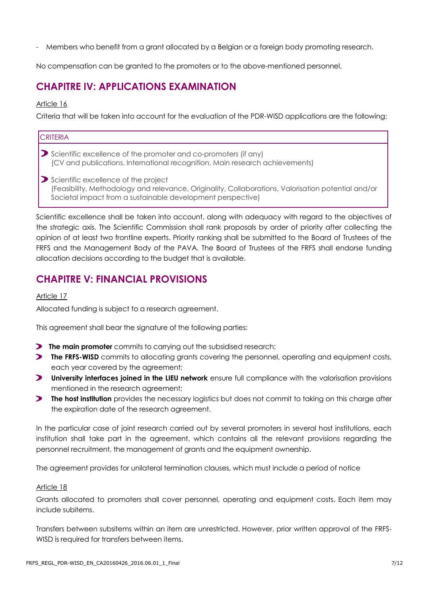- Members who benefit from a grant allocated by a Belgian or a foreign body promoting research.

No compensation can be granted to the promoters or to the above-mentioned personnel.

### **CHAPITRE IV: APPLICATIONS EXAMINATION**

#### Article 16

Criteria that will be taken into account for the evaluation of the PDR-WISD applications are the following:

| <b>CRITERIA</b>                                                                                                                                                                                            |  |  |  |  |
|------------------------------------------------------------------------------------------------------------------------------------------------------------------------------------------------------------|--|--|--|--|
| Scientific excellence of the promoter and co-promoters (if any)<br>(CV and publications, International recognition, Main research achievements)                                                            |  |  |  |  |
| Scientific excellence of the project<br>(Feasibility, Methodology and relevance, Originality, Collaborations, Valorisation potential and/or<br>Societal impact from a sustainable development perspective) |  |  |  |  |

Scientific excellence shall be taken into account, along with adequacy with regard to the objectives of the strategic axis. The Scientific Commission shall rank proposals by order of priority after collecting the opinion of at least two frontline experts. Priority ranking shall be submitted to the Board of Trustees of the FRFS and the Management Body of the PAVA. The Board of Trustees of the FRFS shall endorse funding allocation decisions according to the budget that is available.

### **CHAPITRE V: FINANCIAL PROVISIONS**

#### Article 17

Allocated funding is subject to a research agreement.

This agreement shall bear the signature of the following parties:

- **The main promoter** commits to carrying out the subsidised research;
- **The FRFS-WISD** commits to allocating grants covering the personnel, operating and equipment costs, each year covered by the agreement;
- **D** University interfaces joined in the LIEU network ensure full compliance with the valorisation provisions mentioned in the research agreement;
- **The host institution** provides the necessary logistics but does not commit to taking on this charge after the expiration date of the research agreement.

In the particular case of joint research carried out by several promoters in several host institutions, each institution shall take part in the agreement, which contains all the relevant provisions regarding the personnel recruitment, the management of grants and the equipment ownership.

The agreement provides for unilateral termination clauses, which must include a period of notice

#### Article 18

Grants allocated to promoters shall cover personnel, operating and equipment costs. Each item may include subitems.

Transfers between subsitems within an item are unrestricted. However, prior written approval of the FRFS-WISD is required for transfers between items.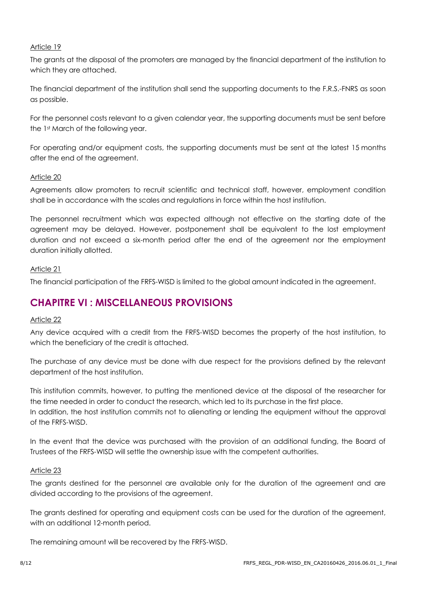### Article 19

The grants at the disposal of the promoters are managed by the financial department of the institution to which they are attached.

The financial department of the institution shall send the supporting documents to the F.R.S.-FNRS as soon as possible.

For the personnel costs relevant to a given calendar year, the supporting documents must be sent before the 1st March of the following year.

For operating and/or equipment costs, the supporting documents must be sent at the latest 15 months after the end of the agreement.

### Article 20

Agreements allow promoters to recruit scientific and technical staff, however, employment condition shall be in accordance with the scales and regulations in force within the host institution.

The personnel recruitment which was expected although not effective on the starting date of the agreement may be delayed. However, postponement shall be equivalent to the lost employment duration and not exceed a six-month period after the end of the agreement nor the employment duration initially allotted.

### Article 21

The financial participation of the FRFS-WISD is limited to the global amount indicated in the agreement.

### **CHAPITRE VI : MISCELLANEOUS PROVISIONS**

### Article 22

Any device acquired with a credit from the FRFS-WISD becomes the property of the host institution, to which the beneficiary of the credit is attached.

The purchase of any device must be done with due respect for the provisions defined by the relevant department of the host institution.

This institution commits, however, to putting the mentioned device at the disposal of the researcher for the time needed in order to conduct the research, which led to its purchase in the first place. In addition, the host institution commits not to alienating or lending the equipment without the approval of the FRFS-WISD.

In the event that the device was purchased with the provision of an additional funding, the Board of Trustees of the FRFS-WISD will settle the ownership issue with the competent authorities.

### Article 23

The grants destined for the personnel are available only for the duration of the agreement and are divided according to the provisions of the agreement.

The grants destined for operating and equipment costs can be used for the duration of the agreement, with an additional 12-month period.

The remaining amount will be recovered by the FRFS-WISD.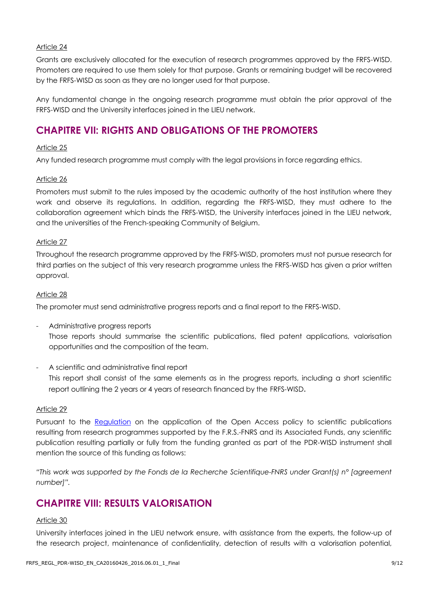#### Article 24

Grants are exclusively allocated for the execution of research programmes approved by the FRFS-WISD. Promoters are required to use them solely for that purpose. Grants or remaining budget will be recovered by the FRFS-WISD as soon as they are no longer used for that purpose.

Any fundamental change in the ongoing research programme must obtain the prior approval of the FRFS-WISD and the University interfaces joined in the LIEU network.

### **CHAPITRE VII: RIGHTS AND OBLIGATIONS OF THE PROMOTERS**

#### Article 25

Any funded research programme must comply with the legal provisions in force regarding ethics.

#### Article 26

Promoters must submit to the rules imposed by the academic authority of the host institution where they work and observe its regulations. In addition, regarding the FRFS-WISD, they must adhere to the collaboration agreement which binds the FRFS-WISD, the University interfaces joined in the LIEU network, and the universities of the French-speaking Community of Belgium.

#### Article 27

Throughout the research programme approved by the FRFS-WISD, promoters must not pursue research for third parties on the subject of this very research programme unless the FRFS-WISD has given a prior written approval.

#### Article 28

The promoter must send administrative progress reports and a final report to the FRFS-WISD.

- Administrative progress reports Those reports should summarise the scientific publications, filed patent applications, valorisation opportunities and the composition of the team.
- A scientific and administrative final report

This report shall consist of the same elements as in the progress reports, including a short scientific report outlining the 2 years or 4 years of research financed by the FRFS-WISD.

### Article 29

Pursuant to the [Regulation](http://www.fnrs.be/docs/Reglement_OPEN_ACCESS_EN.pdf) on the application of the Open Access policy to scientific publications resulting from research programmes supported by the F.R.S.-FNRS and its Associated Funds, any scientific publication resulting partially or fully from the funding granted as part of the PDR-WISD instrument shall mention the source of this funding as follows:

*"This work was supported by the Fonds de la Recherche Scientifique-FNRS under Grant(s) n° [agreement number]".*

### **CHAPITRE VIII: RESULTS VALORISATION**

#### Article 30

University interfaces joined in the LIEU network ensure, with assistance from the experts, the follow-up of the research project, maintenance of confidentiality, detection of results with a valorisation potential,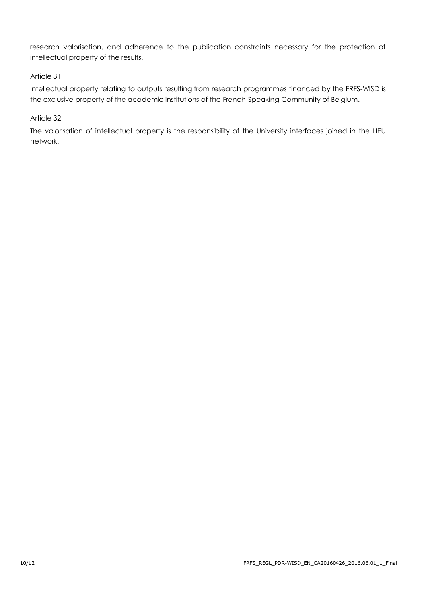research valorisation, and adherence to the publication constraints necessary for the protection of intellectual property of the results.

### Article 31

Intellectual property relating to outputs resulting from research programmes financed by the FRFS-WISD is the exclusive property of the academic institutions of the French-Speaking Community of Belgium.

### Article 32

The valorisation of intellectual property is the responsibility of the University interfaces joined in the LIEU network.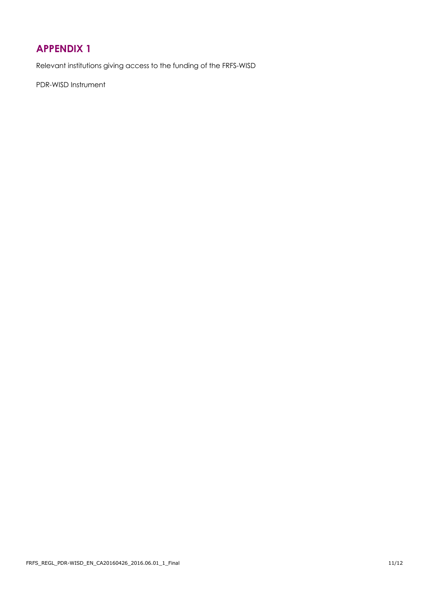## <span id="page-10-0"></span>**APPENDIX 1**

Relevant institutions giving access to the funding of the FRFS-WISD

PDR-WISD Instrument